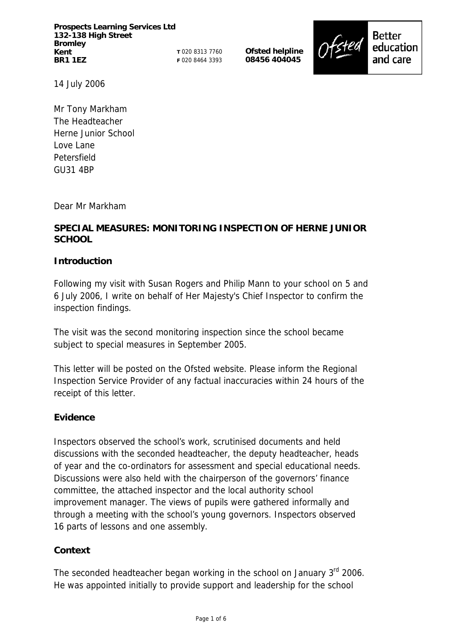**Prospects Learning Services Ltd 132-138 High Street Bromley Kent BR1 1EZ** 

**T** 020 8313 7760 **F** 020 8464 3393 **Ofsted helpline 08456 404045** 



14 July 2006

Mr Tony Markham The Headteacher Herne Junior School Love Lane Petersfield GU31 4BP

Dear Mr Markham

## **SPECIAL MEASURES: MONITORING INSPECTION OF HERNE JUNIOR SCHOOL**

## **Introduction**

Following my visit with Susan Rogers and Philip Mann to your school on 5 and 6 July 2006, I write on behalf of Her Majesty's Chief Inspector to confirm the inspection findings.

The visit was the second monitoring inspection since the school became subject to special measures in September 2005.

This letter will be posted on the Ofsted website. Please inform the Regional Inspection Service Provider of any factual inaccuracies within 24 hours of the receipt of this letter.

### **Evidence**

Inspectors observed the school's work, scrutinised documents and held discussions with the seconded headteacher, the deputy headteacher, heads of year and the co-ordinators for assessment and special educational needs. Discussions were also held with the chairperson of the governors' finance committee, the attached inspector and the local authority school improvement manager. The views of pupils were gathered informally and through a meeting with the school's young governors. Inspectors observed 16 parts of lessons and one assembly.

### **Context**

The seconded headteacher began working in the school on January 3<sup>rd</sup> 2006. He was appointed initially to provide support and leadership for the school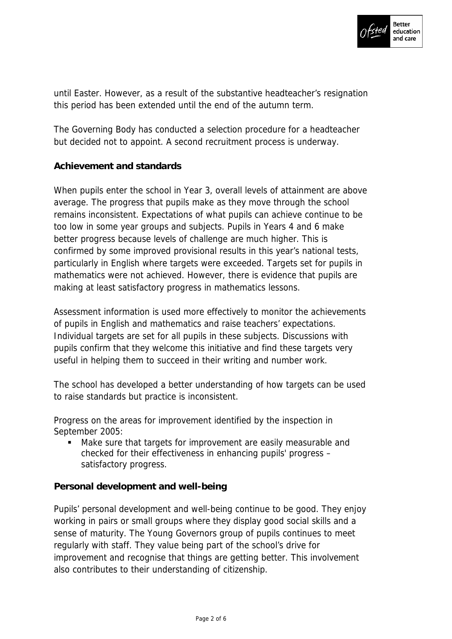

until Easter. However, as a result of the substantive headteacher's resignation this period has been extended until the end of the autumn term.

The Governing Body has conducted a selection procedure for a headteacher but decided not to appoint. A second recruitment process is underway.

## **Achievement and standards**

When pupils enter the school in Year 3, overall levels of attainment are above average. The progress that pupils make as they move through the school remains inconsistent. Expectations of what pupils can achieve continue to be too low in some year groups and subjects. Pupils in Years 4 and 6 make better progress because levels of challenge are much higher. This is confirmed by some improved provisional results in this year's national tests, particularly in English where targets were exceeded. Targets set for pupils in mathematics were not achieved. However, there is evidence that pupils are making at least satisfactory progress in mathematics lessons.

Assessment information is used more effectively to monitor the achievements of pupils in English and mathematics and raise teachers' expectations. Individual targets are set for all pupils in these subjects. Discussions with pupils confirm that they welcome this initiative and find these targets very useful in helping them to succeed in their writing and number work.

The school has developed a better understanding of how targets can be used to raise standards but practice is inconsistent.

Progress on the areas for improvement identified by the inspection in September 2005:

 Make sure that targets for improvement are easily measurable and checked for their effectiveness in enhancing pupils' progress – satisfactory progress.

### **Personal development and well-being**

Pupils' personal development and well-being continue to be good. They enjoy working in pairs or small groups where they display good social skills and a sense of maturity. The Young Governors group of pupils continues to meet regularly with staff. They value being part of the school's drive for improvement and recognise that things are getting better. This involvement also contributes to their understanding of citizenship.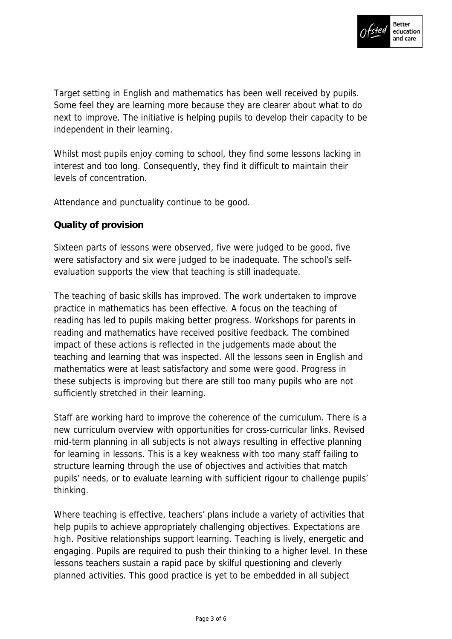

Target setting in English and mathematics has been well received by pupils. Some feel they are learning more because they are clearer about what to do next to improve. The initiative is helping pupils to develop their capacity to be independent in their learning.

Whilst most pupils enjoy coming to school, they find some lessons lacking in interest and too long. Consequently, they find it difficult to maintain their levels of concentration.

Attendance and punctuality continue to be good.

## **Quality of provision**

Sixteen parts of lessons were observed, five were judged to be good, five were satisfactory and six were judged to be inadequate. The school's selfevaluation supports the view that teaching is still inadequate.

The teaching of basic skills has improved. The work undertaken to improve practice in mathematics has been effective. A focus on the teaching of reading has led to pupils making better progress. Workshops for parents in reading and mathematics have received positive feedback. The combined impact of these actions is reflected in the judgements made about the teaching and learning that was inspected. All the lessons seen in English and mathematics were at least satisfactory and some were good. Progress in these subjects is improving but there are still too many pupils who are not sufficiently stretched in their learning.

Staff are working hard to improve the coherence of the curriculum. There is a new curriculum overview with opportunities for cross-curricular links. Revised mid-term planning in all subjects is not always resulting in effective planning for learning in lessons. This is a key weakness with too many staff failing to structure learning through the use of objectives and activities that match pupils' needs, or to evaluate learning with sufficient rigour to challenge pupils' thinking.

Where teaching is effective, teachers' plans include a variety of activities that help pupils to achieve appropriately challenging objectives. Expectations are high. Positive relationships support learning. Teaching is lively, energetic and engaging. Pupils are required to push their thinking to a higher level. In these lessons teachers sustain a rapid pace by skilful questioning and cleverly planned activities. This good practice is yet to be embedded in all subject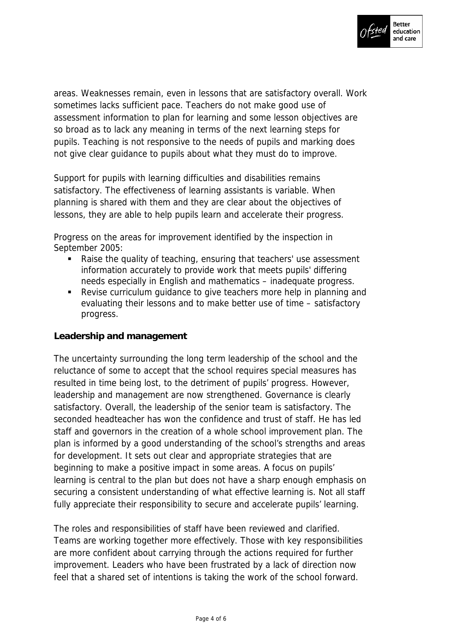

areas. Weaknesses remain, even in lessons that are satisfactory overall. Work sometimes lacks sufficient pace. Teachers do not make good use of assessment information to plan for learning and some lesson objectives are so broad as to lack any meaning in terms of the next learning steps for pupils. Teaching is not responsive to the needs of pupils and marking does not give clear guidance to pupils about what they must do to improve.

Support for pupils with learning difficulties and disabilities remains satisfactory. The effectiveness of learning assistants is variable. When planning is shared with them and they are clear about the objectives of lessons, they are able to help pupils learn and accelerate their progress.

Progress on the areas for improvement identified by the inspection in September 2005:

- Raise the quality of teaching, ensuring that teachers' use assessment information accurately to provide work that meets pupils' differing needs especially in English and mathematics – inadequate progress.
- Revise curriculum guidance to give teachers more help in planning and evaluating their lessons and to make better use of time – satisfactory progress.

### **Leadership and management**

The uncertainty surrounding the long term leadership of the school and the reluctance of some to accept that the school requires special measures has resulted in time being lost, to the detriment of pupils' progress. However, leadership and management are now strengthened. Governance is clearly satisfactory. Overall, the leadership of the senior team is satisfactory. The seconded headteacher has won the confidence and trust of staff. He has led staff and governors in the creation of a whole school improvement plan. The plan is informed by a good understanding of the school's strengths and areas for development. It sets out clear and appropriate strategies that are beginning to make a positive impact in some areas. A focus on pupils' learning is central to the plan but does not have a sharp enough emphasis on securing a consistent understanding of what effective learning is. Not all staff fully appreciate their responsibility to secure and accelerate pupils' learning.

The roles and responsibilities of staff have been reviewed and clarified. Teams are working together more effectively. Those with key responsibilities are more confident about carrying through the actions required for further improvement. Leaders who have been frustrated by a lack of direction now feel that a shared set of intentions is taking the work of the school forward.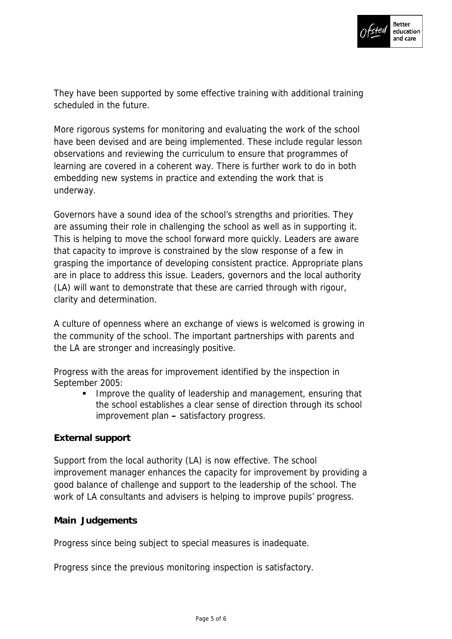

They have been supported by some effective training with additional training scheduled in the future.

More rigorous systems for monitoring and evaluating the work of the school have been devised and are being implemented. These include regular lesson observations and reviewing the curriculum to ensure that programmes of learning are covered in a coherent way. There is further work to do in both embedding new systems in practice and extending the work that is underway.

Governors have a sound idea of the school's strengths and priorities. They are assuming their role in challenging the school as well as in supporting it. This is helping to move the school forward more quickly. Leaders are aware that capacity to improve is constrained by the slow response of a few in grasping the importance of developing consistent practice. Appropriate plans are in place to address this issue. Leaders, governors and the local authority (LA) will want to demonstrate that these are carried through with rigour, clarity and determination.

A culture of openness where an exchange of views is welcomed is growing in the community of the school. The important partnerships with parents and the LA are stronger and increasingly positive.

Progress with the areas for improvement identified by the inspection in September 2005:

**IMPROVE THE QUALITY OF LEADER FIGUREY 10 MANUTA 10 HAM** Interacting that the school establishes a clear sense of direction through its school improvement plan **–** satisfactory progress.

## **External support**

Support from the local authority (LA) is now effective. The school improvement manager enhances the capacity for improvement by providing a good balance of challenge and support to the leadership of the school. The work of LA consultants and advisers is helping to improve pupils' progress.

### **Main Judgements**

Progress since being subject to special measures is inadequate.

Progress since the previous monitoring inspection is satisfactory.